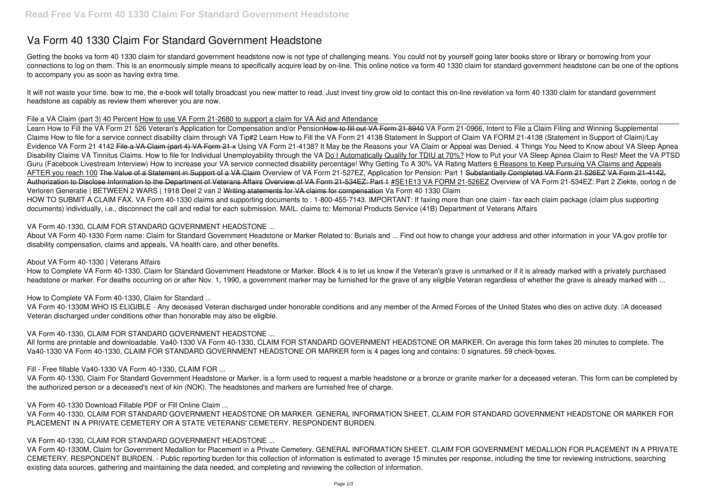# **Va Form 40 1330 Claim For Standard Government Headstone**

Getting the books **va form 40 1330 claim for standard government headstone** now is not type of challenging means. You could not by yourself going later books store or library or borrowing from your connections to log on them. This is an enormously simple means to specifically acquire lead by on-line. This online notice va form 40 1330 claim for standard government headstone can be one of the options to accompany you as soon as having extra time.

It will not waste your time. bow to me, the e-book will totally broadcast you new matter to read. Just invest tiny grow old to contact this on-line revelation **va form 40 1330 claim for standard government headstone** as capably as review them wherever you are now.

#### *File a VA Claim (part 3) 40 Percent* How to use VA Form 21-2680 to support a claim for VA Aid and Attendance

Learn How to Fill the VA Form 21 526 Veteran's Application for Compensation and/or PensionHow to fill out VA Form 21 8940 VA Form 21-0966, Intent to File a Claim **Filing and Winning Supplemental Claims How to file for a service connect disability claim through VA Tip#2** *Learn How to Fill the VA Form 21 4138 Statement In Support of Claim VA FORM 21-4138 (Statement in Support of Claim)/Lay* Evidence VA Form 21 4142 File a VA Claim (part 4) VA Form 21 x Using VA Form 21-4138? It May be the Reasons your VA Claim or Appeal was Denied. 4 Things You Need to Know about VA Sleep Apnea Disability Claims VA Tinnitus Claims. How to file for Individual Unemployability through the VA Do I Automatically Qualify for TDIU at 70%? How to Put your VA Sleep Apnea Claim to Rest! Meet the VA PTSD Guru (Facebook Livestream Interview) How to increase your VA service connected disability percentage! Why Getting To A 30% VA Rating Matters 6 Reasons to Keep Pursuing VA Claims and Appeals AFTER you reach 100 The Value of a Statement in Support of a VA Claim Overview of VA Form 21-527EZ, Application for Pension: Part 1 Substantially Completed VA Form 21 526EZ VA Form 21-4142, Authorization to Disclose Information to the Department of Veterans Affairs Overview of VA Form 21-534EZ: Part 1 #SE1E13 VA FORM 21-526EZ *Overview of VA Form 21-534EZ: Part 2* Ziekte, oorlog n de Verloren Generatie | BETWEEN 2 WARS | 1918 Deel 2 van 2 Writing statements for VA claims for compensation **Va Form 40 1330 Claim** HOW TO SUBMIT A CLAIM FAX. VA Form 40-1330 claims and supporting documents to . 1-800-455-7143. IMPORTANT: If faxing more than one claim - fax each claim package (claim plus supporting documents) individually, i.e., disconnect the call and redial for each submission. MAIL. claims to: Memorial Products Service (41B) Department of Veterans Affairs

VA Form 40-1330M WHO IS ELIGIBLE - Any deceased Veteran discharged under honorable conditions and any member of the Armed Forces of the United States who dies on active duty. □A deceased Veteran discharged under conditions other than honorable may also be eligible.

# **VA Form 40-1330, CLAIM FOR STANDARD GOVERNMENT HEADSTONE ...**

About VA Form 40-1330 Form name: Claim for Standard Government Headstone or Marker Related to: Burials and ... Find out how to change your address and other information in your VA.gov profile for disability compensation, claims and appeals, VA health care, and other benefits.

# **About VA Form 40-1330 | Veterans Affairs**

How to Complete VA Form 40-1330, Claim for Standard Government Headstone or Marker. Block 4 is to let us know if the Veteran's grave is unmarked or if it is already marked with a privately purchased headstone or marker. For deaths occurring on or after Nov. 1, 1990, a government marker may be furnished for the grave of any eligible Veteran regardless of whether the grave is already marked with ...

# **How to Complete VA Form 40-1330, Claim for Standard ...**

# **VA Form 40-1330, CLAIM FOR STANDARD GOVERNMENT HEADSTONE ...**

All forms are printable and downloadable. Va40-1330 VA Form 40-1330, CLAIM FOR STANDARD GOVERNMENT HEADSTONE OR MARKER. On average this form takes 20 minutes to complete. The Va40-1330 VA Form 40-1330, CLAIM FOR STANDARD GOVERNMENT HEADSTONE OR MARKER form is 4 pages long and contains: 0 signatures. 59 check-boxes.

# **Fill - Free fillable Va40-1330 VA Form 40-1330, CLAIM FOR ...**

VA Form 40-1330, Claim For Standard Government Headstone or Marker, is a form used to request a marble headstone or a bronze or granite marker for a deceased veteran. This form can be completed by the authorized person or a deceased's next of kin (NOK). The headstones and markers are furnished free of charge.

# **VA Form 40-1330 Download Fillable PDF or Fill Online Claim ...**

VA Form 40-1330, CLAIM FOR STANDARD GOVERNMENT HEADSTONE OR MARKER. GENERAL INFORMATION SHEET. CLAIM FOR STANDARD GOVERNMENT HEADSTONE OR MARKER FOR PLACEMENT IN A PRIVATE CEMETERY OR A STATE VETERANS' CEMETERY. RESPONDENT BURDEN.

# **VA Form 40-1330, CLAIM FOR STANDARD GOVERNMENT HEADSTONE ...**

VA Form 40-1330M, Claim for Government Medallion for Placement in a Private Cemetery. GENERAL INFORMATION SHEET. CLAIM FOR GOVERNMENT MEDALLION FOR PLACEMENT IN A PRIVATE CEMETERY. RESPONDENT BURDEN. - Public reporting burden for this collection of information is estimated to average 15 minutes per response, including the time for reviewing instructions, searching existing data sources, gathering and maintaining the data needed, and completing and reviewing the collection of information.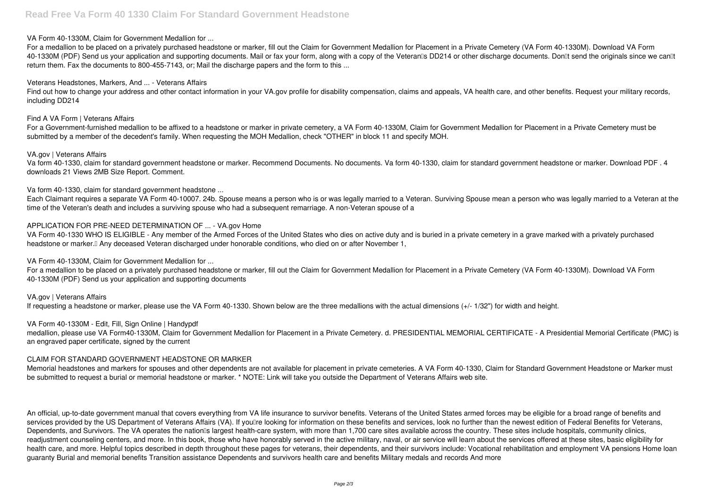#### **VA Form 40-1330M, Claim for Government Medallion for ...**

For a medallion to be placed on a privately purchased headstone or marker, fill out the Claim for Government Medallion for Placement in a Private Cemetery (VA Form 40-1330M). Download VA Form 40-1330M (PDF) Send us your application and supporting documents. Mail or fax your form, along with a copy of the Veteran<sup>n</sup>s DD214 or other discharge documents. Don<sup>n</sup>t send the originals since we can<sup>nt</sup> return them. Fax the documents to 800-455-7143, or; Mail the discharge papers and the form to this ...

Find out how to change your address and other contact information in your VA.gov profile for disability compensation, claims and appeals, VA health care, and other benefits. Request your military records, including DD214

#### **Veterans Headstones, Markers, And ... - Veterans Affairs**

#### **Find A VA Form | Veterans Affairs**

VA Form 40-1330 WHO IS ELIGIBLE - Any member of the Armed Forces of the United States who dies on active duty and is buried in a private cemetery in a grave marked with a privately purchased headstone or marker.<sup>[]</sup> Any deceased Veteran discharged under honorable conditions, who died on or after November 1,

For a Government-furnished medallion to be affixed to a headstone or marker in private cemetery, a VA Form 40-1330M, Claim for Government Medallion for Placement in a Private Cemetery must be submitted by a member of the decedent's family. When requesting the MOH Medallion, check "OTHER" in block 11 and specify MOH.

#### **VA.gov | Veterans Affairs**

Va form 40-1330, claim for standard government headstone or marker. Recommend Documents. No documents. Va form 40-1330, claim for standard government headstone or marker. Download PDF . 4 downloads 21 Views 2MB Size Report. Comment.

**Va form 40-1330, claim for standard government headstone ...**

Each Claimant requires a separate VA Form 40-10007. 24b. Spouse means a person who is or was legally married to a Veteran. Surviving Spouse mean a person who was legally married to a Veteran at the time of the Veteran's death and includes a surviving spouse who had a subsequent remarriage. A non-Veteran spouse of a

#### **APPLICATION FOR PRE-NEED DETERMINATION OF ... - VA.gov Home**

# **VA Form 40-1330M, Claim for Government Medallion for ...**

For a medallion to be placed on a privately purchased headstone or marker, fill out the Claim for Government Medallion for Placement in a Private Cemetery (VA Form 40-1330M). Download VA Form 40-1330M (PDF) Send us your application and supporting documents

**VA.gov | Veterans Affairs** If requesting a headstone or marker, please use the VA Form 40-1330. Shown below are the three medallions with the actual dimensions (+/- 1/32") for width and height.

**VA Form 40-1330M - Edit, Fill, Sign Online | Handypdf**

medallion, please use VA Form40-1330M, Claim for Government Medallion for Placement in a Private Cemetery. d. PRESIDENTIAL MEMORIAL CERTIFICATE - A Presidential Memorial Certificate (PMC) is an engraved paper certificate, signed by the current

# **CLAIM FOR STANDARD GOVERNMENT HEADSTONE OR MARKER**

Memorial headstones and markers for spouses and other dependents are not available for placement in private cemeteries. A VA Form 40-1330, Claim for Standard Government Headstone or Marker must be submitted to request a burial or memorial headstone or marker. \* NOTE: Link will take you outside the Department of Veterans Affairs web site.

An official, up-to-date government manual that covers everything from VA life insurance to survivor benefits. Veterans of the United States armed forces may be eligible for a broad range of benefits and services provided by the US Department of Veterans Affairs (VA). If youllre looking for information on these benefits and services, look no further than the newest edition of Federal Benefits for Veterans, Dependents, and Survivors. The VA operates the nation<sup>n</sup>s largest health-care system, with more than 1,700 care sites available across the country. These sites include hospitals, community clinics, readjustment counseling centers, and more. In this book, those who have honorably served in the active military, naval, or air service will learn about the services offered at these sites, basic eligibility for health care, and more. Helpful topics described in depth throughout these pages for veterans, their dependents, and their survivors include: Vocational rehabilitation and employment VA pensions Home loan guaranty Burial and memorial benefits Transition assistance Dependents and survivors health care and benefits Military medals and records And more